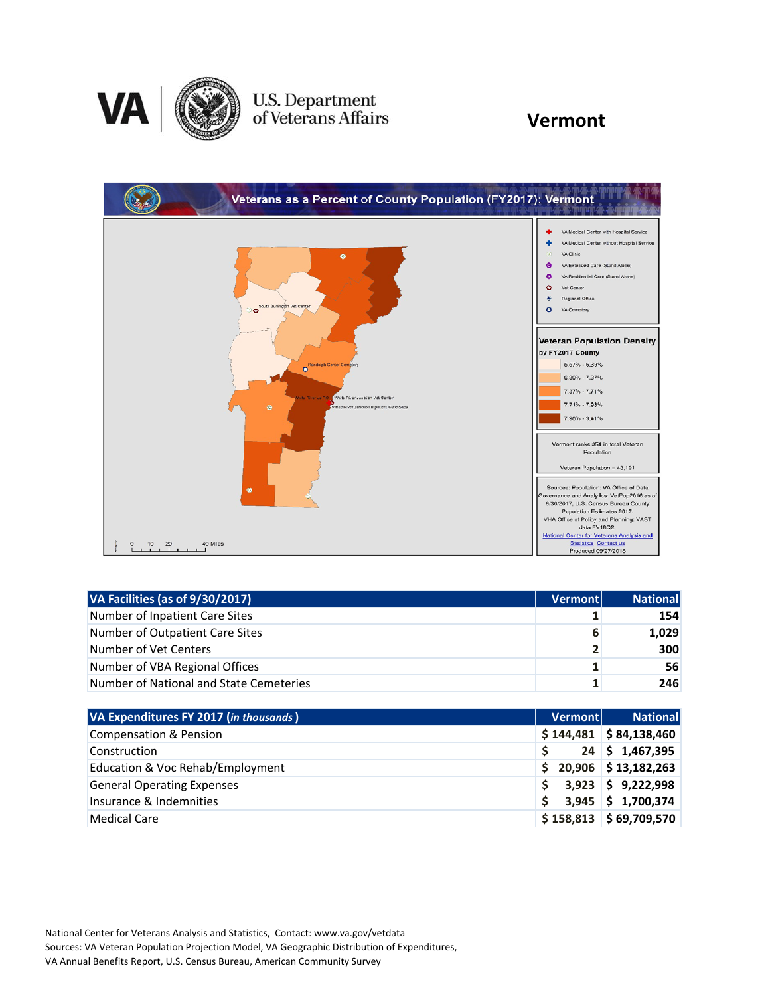

## U.S. Department<br>of Veterans Affairs

#### **Vermont**



| VA Facilities (as of 9/30/2017)         | <b>Vermont</b> | National   |
|-----------------------------------------|----------------|------------|
| Number of Inpatient Care Sites          |                | 154        |
| Number of Outpatient Care Sites         | 6              | 1,029      |
| Number of Vet Centers                   | $\overline{2}$ | <b>300</b> |
| Number of VBA Regional Offices          | 1              | 56         |
| Number of National and State Cemeteries |                | 246        |

| VA Expenditures FY 2017 (in thousands) | Vermont | <b>National</b>            |
|----------------------------------------|---------|----------------------------|
| <b>Compensation &amp; Pension</b>      |         | $$144,481$ $$84,138,460$   |
| Construction                           |         | $24 \mid 5 \mid 1,467,395$ |
| Education & Voc Rehab/Employment       | Ŝ.      | 20,906 \$13,182,263        |
| <b>General Operating Expenses</b>      |         | $3,923$ \$ 9,222,998       |
| Insurance & Indemnities                | S       | $3,945$ \$ 1,700,374       |
| <b>Medical Care</b>                    |         | $$158,813$ $$69,709,570$   |

National Center for Veterans Analysis and Statistics, Contact: www.va.gov/vetdata Sources: VA Veteran Population Projection Model, VA Geographic Distribution of Expenditures, VA Annual Benefits Report, U.S. Census Bureau, American Community Survey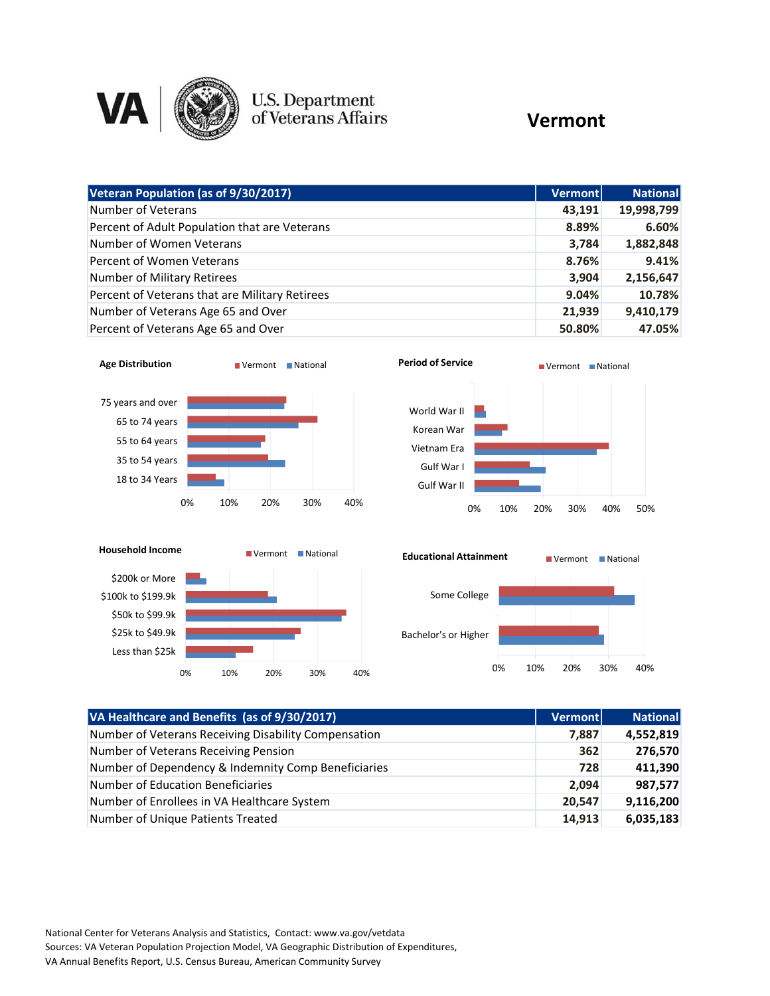

# **U.S. Department**<br>of Veterans Affairs

### **Vermont**

| Veteran Population (as of 9/30/2017)           | <b>Vermont</b> | <b>National</b> |
|------------------------------------------------|----------------|-----------------|
| Number of Veterans                             | 43.191         | 19,998,799      |
| Percent of Adult Population that are Veterans  | 8.89%          | 6.60%           |
| Number of Women Veterans                       | 3,784          | 1,882,848       |
| Percent of Women Veterans                      | 8.76%          | 9.41%           |
| Number of Military Retirees                    | 3,904          | 2,156,647       |
| Percent of Veterans that are Military Retirees | 9.04%          | 10.78%          |
| Number of Veterans Age 65 and Over             | 21,939         | 9,410,179       |
| Percent of Veterans Age 65 and Over            | 50.80%         | 47.05%          |







| VA Healthcare and Benefits (as of 9/30/2017)         | <b>Vermont</b> | <b>National</b> |
|------------------------------------------------------|----------------|-----------------|
| Number of Veterans Receiving Disability Compensation | 7,887          | 4,552,819       |
| Number of Veterans Receiving Pension                 | 362            | 276,570         |
| Number of Dependency & Indemnity Comp Beneficiaries  | 728            | 411,390         |
| <b>Number of Education Beneficiaries</b>             | 2,094          | 987,577         |
| Number of Enrollees in VA Healthcare System          | 20,547         | 9,116,200       |
| Number of Unique Patients Treated                    | 14,913         | 6,035,183       |